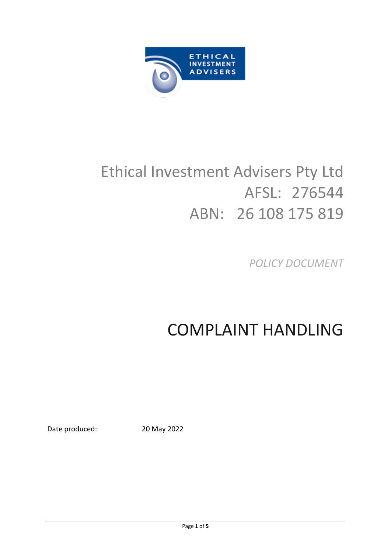

# Ethical Investment Advisers Pty Ltd AFSL: 276544 ABN: 26 108 175 819

*POLICY DOCUMENT*

# COMPLAINT HANDLING

Date produced: 20 May 2022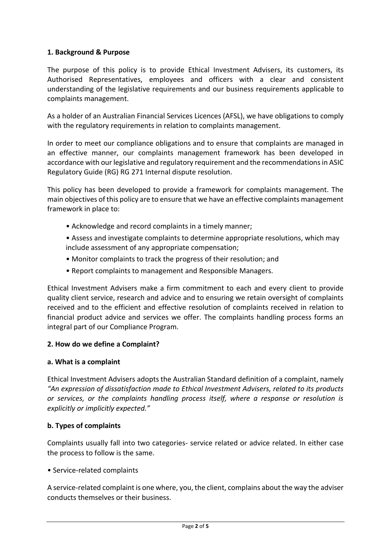## **1. Background & Purpose**

The purpose of this policy is to provide Ethical Investment Advisers, its customers, its Authorised Representatives, employees and officers with a clear and consistent understanding of the legislative requirements and our business requirements applicable to complaints management.

As a holder of an Australian Financial Services Licences (AFSL), we have obligations to comply with the regulatory requirements in relation to complaints management.

In order to meet our compliance obligations and to ensure that complaints are managed in an effective manner, our complaints management framework has been developed in accordance with our legislative and regulatory requirement and the recommendations in ASIC Regulatory Guide (RG) RG 271 Internal dispute resolution.

This policy has been developed to provide a framework for complaints management. The main objectives of this policy are to ensure that we have an effective complaints management framework in place to:

- Acknowledge and record complaints in a timely manner;
- Assess and investigate complaints to determine appropriate resolutions, which may include assessment of any appropriate compensation;
- Monitor complaints to track the progress of their resolution; and
- Report complaints to management and Responsible Managers.

Ethical Investment Advisers make a firm commitment to each and every client to provide quality client service, research and advice and to ensuring we retain oversight of complaints received and to the efficient and effective resolution of complaints received in relation to financial product advice and services we offer. The complaints handling process forms an integral part of our Compliance Program.

## **2. How do we define a Complaint?**

#### **a. What is a complaint**

Ethical Investment Advisers adopts the Australian Standard definition of a complaint, namely *"An expression of dissatisfaction made to Ethical Investment Advisers, related to its products or services, or the complaints handling process itself, where a response or resolution is explicitly or implicitly expected."*

## **b. Types of complaints**

Complaints usually fall into two categories- service related or advice related. In either case the process to follow is the same.

#### • Service-related complaints

A service-related complaint is one where, you, the client, complains about the way the adviser conducts themselves or their business.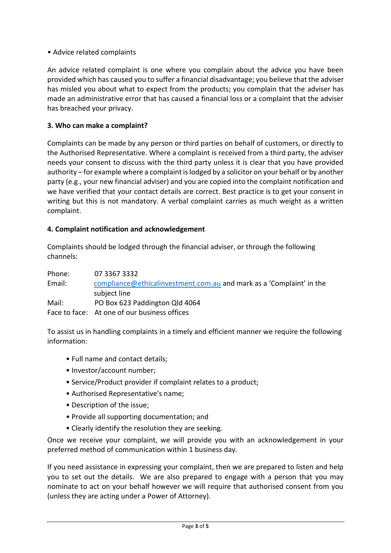## • Advice related complaints

An advice related complaint is one where you complain about the advice you have been provided which has caused you to suffer a financial disadvantage; you believe that the adviser has misled you about what to expect from the products; you complain that the adviser has made an administrative error that has caused a financial loss or a complaint that the adviser has breached your privacy.

## **3. Who can make a complaint?**

Complaints can be made by any person or third parties on behalf of customers, or directly to the Authorised Representative. Where a complaint is received from a third party, the adviser needs your consent to discuss with the third party unless it is clear that you have provided authority – for example where a complaint is lodged by a solicitor on your behalf or by another party (e.g., your new financial adviser) and you are copied into the complaint notification and we have verified that your contact details are correct. Best practice is to get your consent in writing but this is not mandatory. A verbal complaint carries as much weight as a written complaint.

## **4. Complaint notification and acknowledgement**

Complaints should be lodged through the financial adviser, or through the following channels:

| Phone: | 07 3367 3332                                                         |
|--------|----------------------------------------------------------------------|
| Email: | compliance@ethicalinvestment.com.au and mark as a 'Complaint' in the |
|        | subject line                                                         |
| Mail:  | PO Box 623 Paddington Qld 4064                                       |
|        | Face to face: At one of our business offices                         |

To assist us in handling complaints in a timely and efficient manner we require the following information:

- Full name and contact details;
- Investor/account number;
- Service/Product provider if complaint relates to a product;
- Authorised Representative's name;
- Description of the issue;
- Provide all supporting documentation; and
- Clearly identify the resolution they are seeking.

Once we receive your complaint, we will provide you with an acknowledgement in your preferred method of communication within 1 business day.

If you need assistance in expressing your complaint, then we are prepared to listen and help you to set out the details. We are also prepared to engage with a person that you may nominate to act on your behalf however we will require that authorised consent from you (unless they are acting under a Power of Attorney).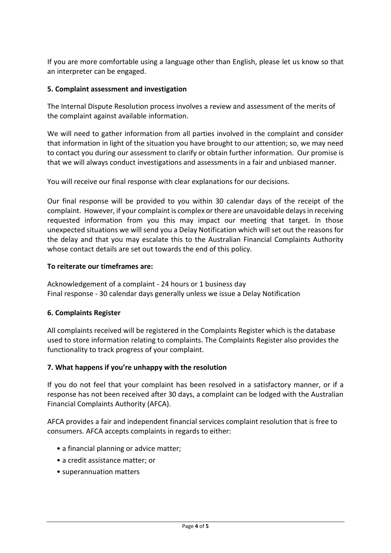If you are more comfortable using a language other than English, please let us know so that an interpreter can be engaged.

#### **5. Complaint assessment and investigation**

The Internal Dispute Resolution process involves a review and assessment of the merits of the complaint against available information.

We will need to gather information from all parties involved in the complaint and consider that information in light of the situation you have brought to our attention; so, we may need to contact you during our assessment to clarify or obtain further information. Our promise is that we will always conduct investigations and assessments in a fair and unbiased manner.

You will receive our final response with clear explanations for our decisions.

Our final response will be provided to you within 30 calendar days of the receipt of the complaint. However, if your complaint is complex or there are unavoidable delays in receiving requested information from you this may impact our meeting that target. In those unexpected situations we will send you a Delay Notification which will set out the reasons for the delay and that you may escalate this to the Australian Financial Complaints Authority whose contact details are set out towards the end of this policy.

#### **To reiterate our timeframes are:**

Acknowledgement of a complaint - 24 hours or 1 business day Final response - 30 calendar days generally unless we issue a Delay Notification

#### **6. Complaints Register**

All complaints received will be registered in the Complaints Register which is the database used to store information relating to complaints. The Complaints Register also provides the functionality to track progress of your complaint.

#### **7. What happens if you're unhappy with the resolution**

If you do not feel that your complaint has been resolved in a satisfactory manner, or if a response has not been received after 30 days, a complaint can be lodged with the Australian Financial Complaints Authority (AFCA).

AFCA provides a fair and independent financial services complaint resolution that is free to consumers. AFCA accepts complaints in regards to either:

- a financial planning or advice matter;
- a credit assistance matter; or
- superannuation matters